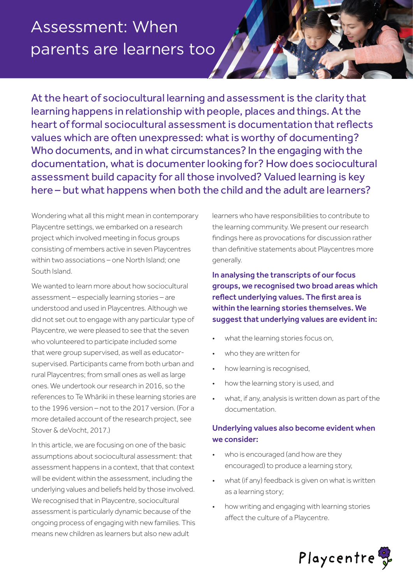# Assessment: When parents are learners too

At the heart of sociocultural learning and assessment is the clarity that learning happens in relationship with people, places and things. At the heart of formal sociocultural assessment is documentation that reflects values which are often unexpressed: what is worthy of documenting? Who documents, and in what circumstances? In the engaging with the documentation, what is documenter looking for? How does sociocultural assessment build capacity for all those involved? Valued learning is key here – but what happens when both the child and the adult are learners?

Wondering what all this might mean in contemporary Playcentre settings, we embarked on a research project which involved meeting in focus groups consisting of members active in seven Playcentres within two associations – one North Island; one South Island.

We wanted to learn more about how sociocultural assessment – especially learning stories – are understood and used in Playcentres. Although we did not set out to engage with any particular type of Playcentre, we were pleased to see that the seven who volunteered to participate included some that were group supervised, as well as educatorsupervised. Participants came from both urban and rural Playcentres; from small ones as well as large ones. We undertook our research in 2016, so the references to Te Whāriki in these learning stories are to the 1996 version – not to the 2017 version. (For a more detailed account of the research project, see Stover & deVocht, 2017.)

In this article, we are focusing on one of the basic assumptions about sociocultural assessment: that assessment happens in a context, that that context will be evident within the assessment, including the underlying values and beliefs held by those involved. We recognised that in Playcentre, sociocultural assessment is particularly dynamic because of the ongoing process of engaging with new families. This means new children as learners but also new adult

learners who have responsibilities to contribute to the learning community. We present our research findings here as provocations for discussion rather than definitive statements about Playcentres more generally.

In analysing the transcripts of our focus groups, we recognised two broad areas which reflect underlying values. The first area is within the learning stories themselves. We suggest that underlying values are evident in:

- what the learning stories focus on,
- who they are written for
- how learning is recognised,
- how the learning story is used, and
- what, if any, analysis is written down as part of the documentation.

# Underlying values also become evident when we consider:

- who is encouraged (and how are they encouraged) to produce a learning story,
- what (if any) feedback is given on what is written as a learning story;
- how writing and engaging with learning stories affect the culture of a Playcentre.

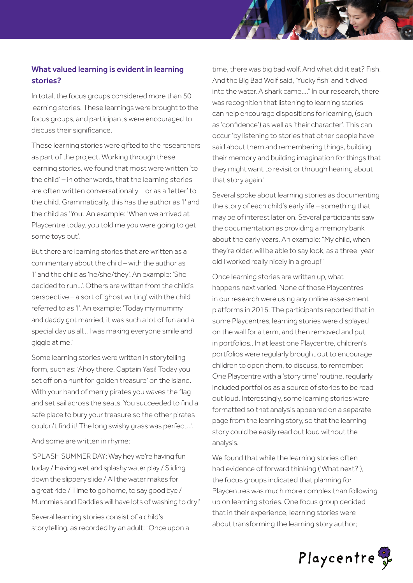# What valued learning is evident in learning stories?

In total, the focus groups considered more than 50 learning stories. These learnings were brought to the focus groups, and participants were encouraged to discuss their significance.

These learning stories were gifted to the researchers as part of the project. Working through these learning stories, we found that most were written 'to the child' – in other words, that the learning stories are often written conversationally – or as a 'letter' to the child. Grammatically, this has the author as 'I' and the child as 'You'. An example: 'When we arrived at Playcentre today, you told me you were going to get some toys out'.

But there are learning stories that are written as a commentary about the child – with the author as 'I' and the child as 'he/she/they'. An example: 'She decided to run…'. Others are written from the child's perspective – a sort of 'ghost writing' with the child referred to as 'I'. An example: 'Today my mummy and daddy got married, it was such a lot of fun and a special day us all… I was making everyone smile and giggle at me.'

Some learning stories were written in storytelling form, such as: 'Ahoy there, Captain Yasi! Today you set off on a hunt for 'golden treasure' on the island. With your band of merry pirates you waves the flag and set sail across the seats. You succeeded to find a safe place to bury your treasure so the other pirates couldn't find it! The long swishy grass was perfect…'.

And some are written in rhyme:

'SPLASH SUMMER DAY: Way hey we're having fun today / Having wet and splashy water play / Sliding down the slippery slide / All the water makes for a great ride / Time to go home, to say good bye / Mummies and Daddies will have lots of washing to dry!'

Several learning stories consist of a child's storytelling, as recorded by an adult: "Once upon a

time, there was big bad wolf. And what did it eat? Fish. And the Big Bad Wolf said, 'Yucky fish' and it dived into the water. A shark came…." In our research, there was recognition that listening to learning stories can help encourage dispositions for learning, (such as 'confidence') as well as 'their character'. This can occur 'by listening to stories that other people have said about them and remembering things, building their memory and building imagination for things that they might want to revisit or through hearing about that story again.'

Several spoke about learning stories as documenting the story of each child's early life – something that may be of interest later on. Several participants saw the documentation as providing a memory bank about the early years. An example: "My child, when they're older, will be able to say look, as a three-yearold I worked really nicely in a group!"

Once learning stories are written up, what happens next varied. None of those Playcentres in our research were using any online assessment platforms in 2016. The participants reported that in some Playcentres, learning stories were displayed on the wall for a term, and then removed and put in portfolios.. In at least one Playcentre, children's portfolios were regularly brought out to encourage children to open them, to discuss, to remember. One Playcentre with a 'story time' routine, regularly included portfolios as a source of stories to be read out loud. Interestingly, some learning stories were formatted so that analysis appeared on a separate page from the learning story, so that the learning story could be easily read out loud without the analysis.

We found that while the learning stories often had evidence of forward thinking ('What next?'), the focus groups indicated that planning for Playcentres was much more complex than following up on learning stories. One focus group decided that in their experience, learning stories were about transforming the learning story author;

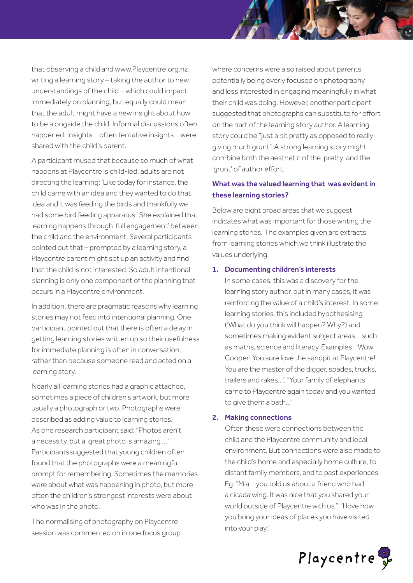that observing a child and www.Playcentre.org.nz writing a learning story – taking the author to new understandings of the child – which could impact immediately on planning, but equally could mean that the adult might have a new insight about how to be alongside the child. Informal discussions often happened. Insights – often tentative insights – were shared with the child's parent.

A participant mused that because so much of what happens at Playcentre is child-led, adults are not directing the learning: 'Like today for instance, the child came with an idea and they wanted to do that idea and it was feeding the birds and thankfully we had some bird feeding apparatus.' She explained that learning happens through 'full engagement' between the child and the environment. Several participants pointed out that – prompted by a learning story, a Playcentre parent might set up an activity and find that the child is not interested. So adult intentional planning is only one component of the planning that occurs in a Playcentre environment.

In addition, there are pragmatic reasons why learning stories may not feed into intentional planning. One participant pointed out that there is often a delay in getting learning stories written up so their usefulness for immediate planning is often in conversation, rather than because someone read and acted on a learning story.

Nearly all learning stories had a graphic attached, sometimes a piece of children's artwork, but more usually a photograph or two. Photographs were described as adding value to learning stories. As one research participant said: "Photos aren't a necessity, but a great photo is amazing …." Participantssuggested that young children often found that the photographs were a meaningful prompt for remembering. Sometimes the memories were about what was happening in photo, but more often the children's strongest interests were about who was in the photo.

The normalising of photography on Playcentre session was commented on in one focus group where concerns were also raised about parents potentially being overly focused on photography and less interested in engaging meaningfully in what their child was doing. However, another participant suggested that photographs can substitute for effort on the part of the learning story author. A learning story could be "just a bit pretty as opposed to really giving much grunt". A strong learning story might combine both the aesthetic of the 'pretty' and the 'grunt' of author effort.

## What was the valued learning that was evident in these learning stories?

Below are eight broad areas that we suggest indicates what was important for those writing the learning stories. The examples given are extracts from learning stories which we think illustrate the values underlying.

#### 1. Documenting children's interests

In some cases, this was a discovery for the learning story author, but in many cases, it was reinforcing the value of a child's interest. In some learning stories, this included hypothesising ('What do you think will happen? Why?) and sometimes making evident subject areas – such as maths, science and literacy. Examples: "Wow Cooper! You sure love the sandpit at Playcentre! You are the master of the digger, spades, trucks, trailers and rakes…", "Your family of elephants came to Playcentre again today and you wanted to give them a bath…"

#### 2. Making connections

Often these were connections between the child and the Playcentre community and local environment. But connections were also made to the child's home and especially home culture, to distant family members, and to past experiences. Eg: "Mia – you told us about a friend who had a cicada wing. It was nice that you shared your world outside of Playcentre with us.", "I love how you bring your ideas of places you have visited into your play."